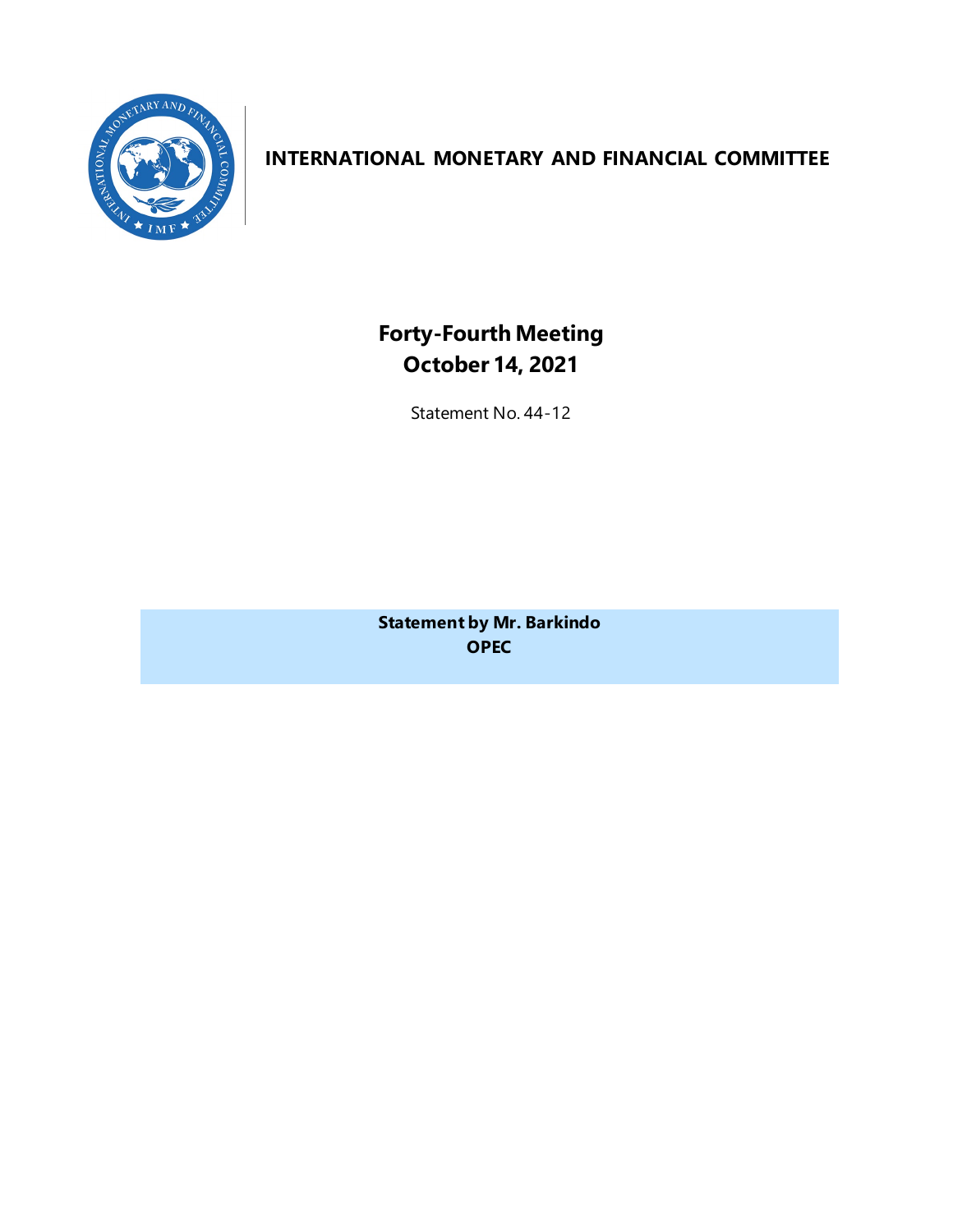

#### **INTERNATIONAL MONETARY AND FINANCIAL COMMITTEE**

**Forty-Fourth Meeting October 14, 2021**

Statement No. 44-12

**Statement by Mr. Barkindo OPEC**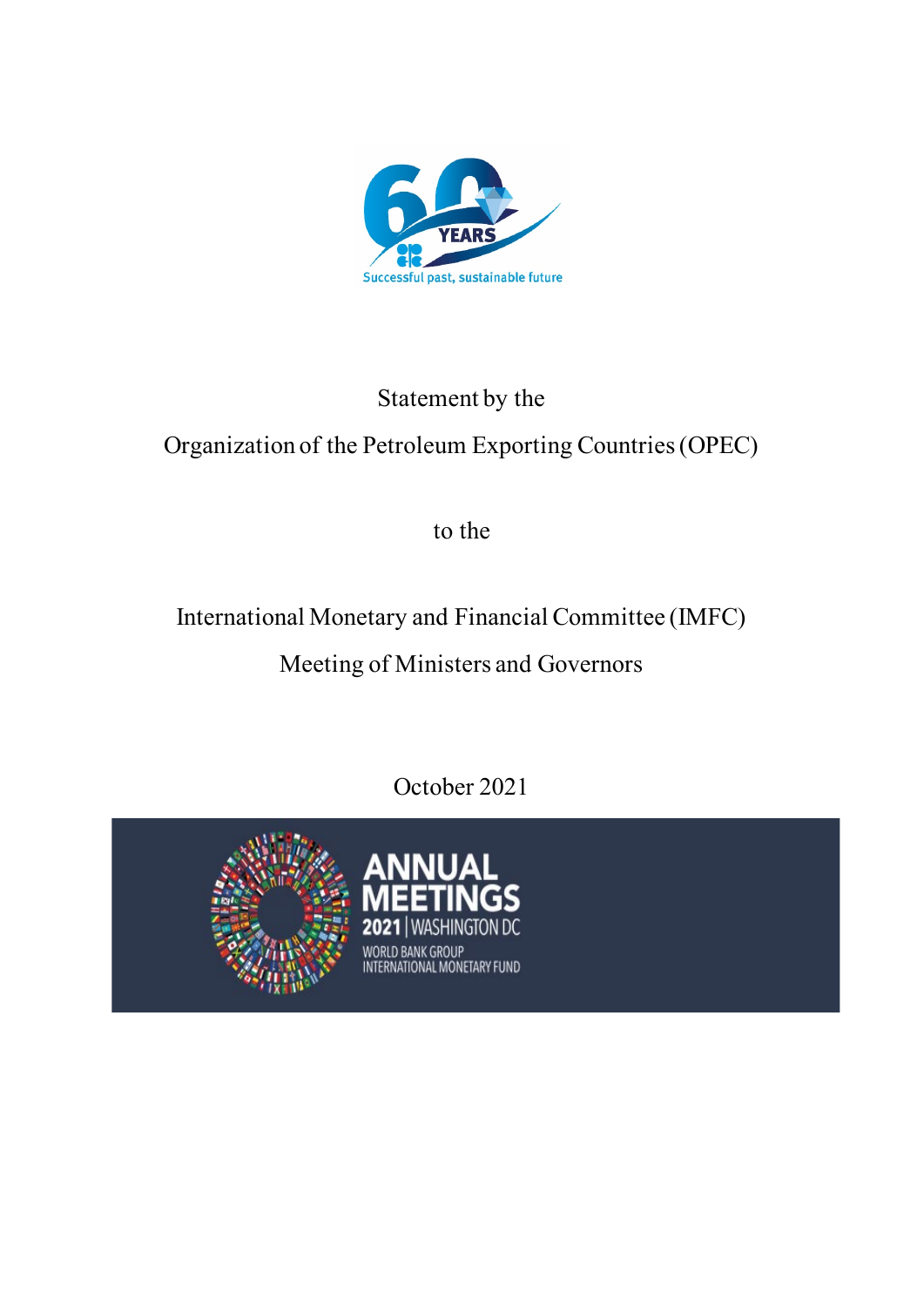

#### Statement by the

# Organization of the Petroleum Exporting Countries (OPEC)

to the

## International Monetary and Financial Committee (IMFC)

### Meeting of Ministers and Governors

October 2021



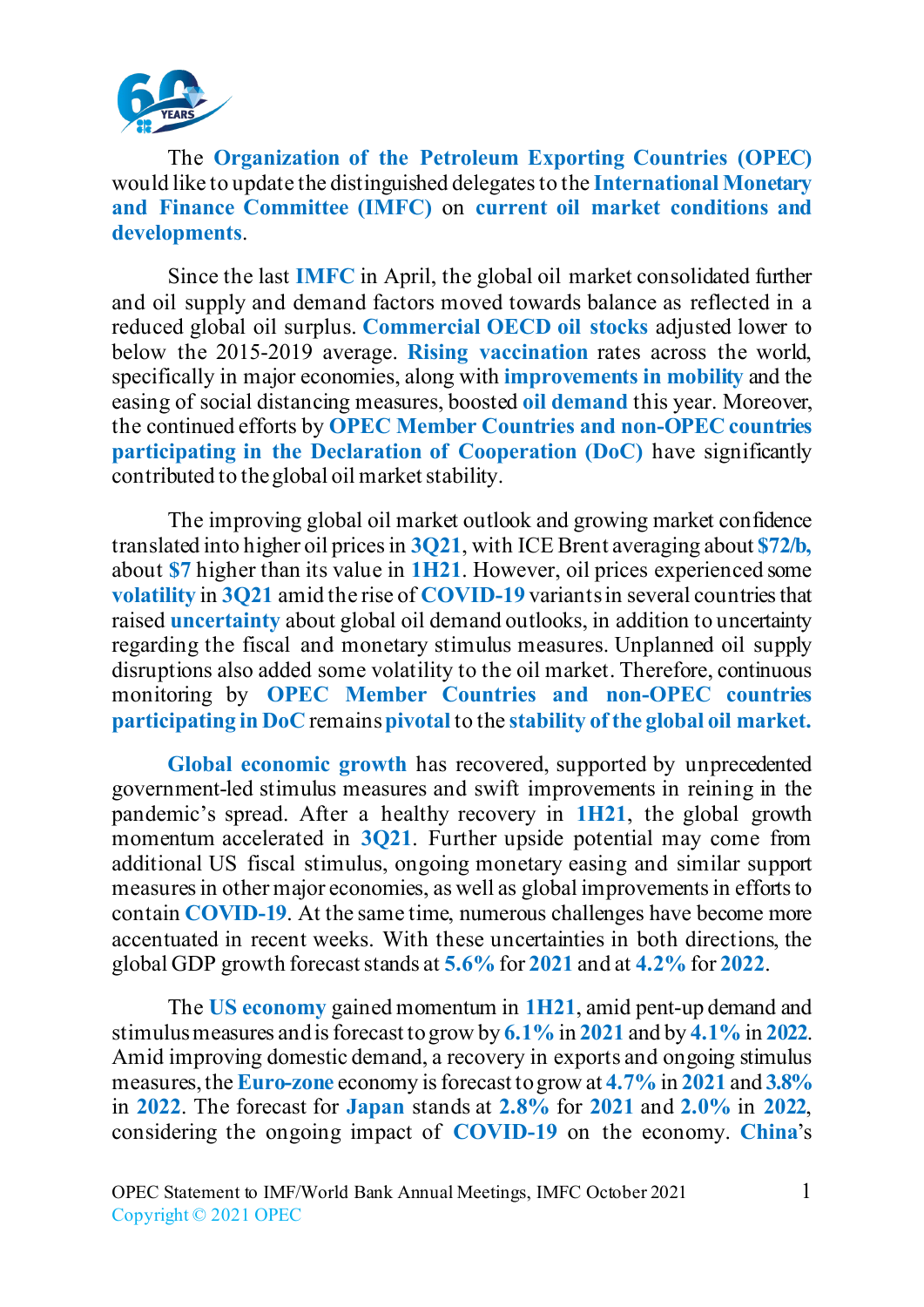

The **Organization of the Petroleum Exporting Countries (OPEC)**  would like to update the distinguished delegates to the **International Monetary and Finance Committee (IMFC)** on **current oil market conditions and developments**.

Since the last **IMFC** in April, the global oil market consolidated further and oil supply and demand factors moved towards balance as reflected in a reduced global oil surplus. **Commercial OECD oil stocks** adjusted lower to below the 2015-2019 average. **Rising vaccination** rates across the world, specifically in major economies, along with **improvements in mobility** and the easing of social distancing measures, boosted **oil demand** this year. Moreover, the continued efforts by **OPEC Member Countries and non-OPEC countries participating in the Declaration of Cooperation (DoC)** have significantly contributed to the global oil market stability.

The improving global oil market outlook and growing market confidence translated into higher oil prices in **3Q21**, with ICE Brent averaging about **\$72/b,** about **\$7** higher than its value in **1H21**. However, oil prices experienced some **volatility** in **3Q21** amid the rise of **COVID-19** variants in several countries that raised **uncertainty** about global oil demand outlooks, in addition to uncertainty regarding the fiscal and monetary stimulus measures. Unplanned oil supply disruptions also added some volatility to the oil market. Therefore, continuous monitoring by **OPEC Member Countries and non-OPEC countries participating in DoC** remains **pivotal** to the **stability of the global oil market.**

**Global economic growth** has recovered, supported by unprecedented government-led stimulus measures and swift improvements in reining in the pandemic's spread. After a healthy recovery in **1H21**, the global growth momentum accelerated in **3Q21**. Further upside potential may come from additional US fiscal stimulus, ongoing monetary easing and similar support measures in other major economies, as well as global improvements in efforts to contain **COVID-19**. At the same time, numerous challenges have become more accentuated in recent weeks. With these uncertainties in both directions, the global GDP growth forecast stands at **5.6%** for **2021** and at **4.2%**for **2022**.

The **US economy** gained momentum in **1H21**, amid pent-up demand and stimulus measures and isforecast to grow by **6.1%** in **2021** and by **4.1%**in **2022**. Amid improving domestic demand, a recovery in exports and ongoing stimulus measures, the **Euro-zone** economy is forecast to grow at **4.7%** in **2021** and **3.8%** in **2022**. The forecast for **Japan** stands at **2.8%** for **2021** and **2.0%** in **2022**, considering the ongoing impact of **COVID-19** on the economy. **China**'s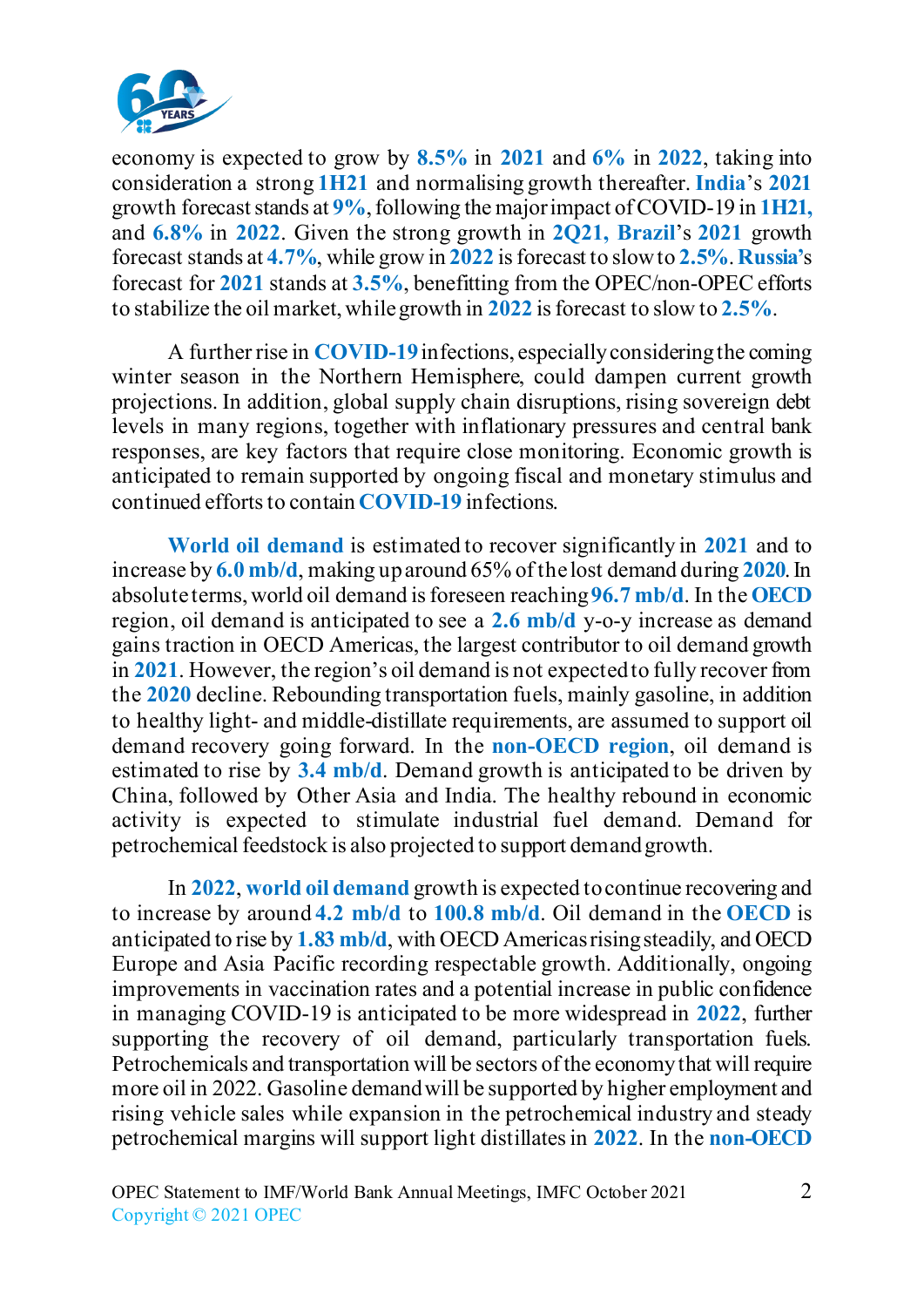

economy is expected to grow by **8.5%** in **2021** and **6%** in **2022**, taking into consideration a strong **1H21** and normalising growth thereafter. **India**'s **2021**  growth forecast stands at **9%**, following the major impact of COVID-19 in **1H21,** and **6.8%** in **2022**. Given the strong growth in **2Q21, Brazil**'s **2021** growth forecast stands at **4.7%**, while grow in **2022** is forecast to slow to **2.5%**. **Russia'**s forecast for **2021** stands at **3.5%**, benefitting from the OPEC/non-OPEC efforts to stabilize the oil market, while growth in **2022** is forecast to slow to **2.5%**.

A further rise in **COVID-19**infections, especially considering the coming winter season in the Northern Hemisphere, could dampen current growth projections. In addition, global supply chain disruptions, rising sovereign debt levels in many regions, together with inflationary pressures and central bank responses, are key factors that require close monitoring. Economic growth is anticipated to remain supported by ongoing fiscal and monetary stimulus and continued efforts to contain **COVID-19** infections.

**World oil demand** is estimated to recover significantly in **2021** and to increase by **6.0 mb/d**, making up around 65% of the lost demand during **2020**. In absolute terms, world oil demand is foreseen reaching **96.7 mb/d**. In the **OECD** region, oil demand is anticipated to see a **2.6 mb/d** y-o-y increase as demand gains traction in OECD Americas, the largest contributor to oil demand growth in **2021**. However, the region's oil demand is not expected to fully recover from the **2020** decline. Rebounding transportation fuels, mainly gasoline, in addition to healthy light- and middle-distillate requirements, are assumed to support oil demand recovery going forward. In the **non-OECD region**, oil demand is estimated to rise by **3.4 mb/d**. Demand growth is anticipated to be driven by China, followed by Other Asia and India. The healthy rebound in economic activity is expected to stimulate industrial fuel demand. Demand for petrochemical feedstock is also projected to support demand growth.

In **2022**, **world oil demand** growth is expected to continue recovering and to increase by around **4.2 mb/d** to **100.8 mb/d**. Oil demand in the **OECD** is anticipated to rise by **1.83 mb/d**, with OECD Americas rising steadily, and OECD Europe and Asia Pacific recording respectable growth. Additionally, ongoing improvements in vaccination rates and a potential increase in public confidence in managing COVID-19 is anticipated to be more widespread in **2022**, further supporting the recovery of oil demand, particularly transportation fuels. Petrochemicals and transportation will be sectors of the economy that will require more oil in 2022. Gasoline demand will be supported by higher employment and rising vehicle sales while expansion in the petrochemical industry and steady petrochemical margins will support light distillates in **2022**. In the **non-OECD**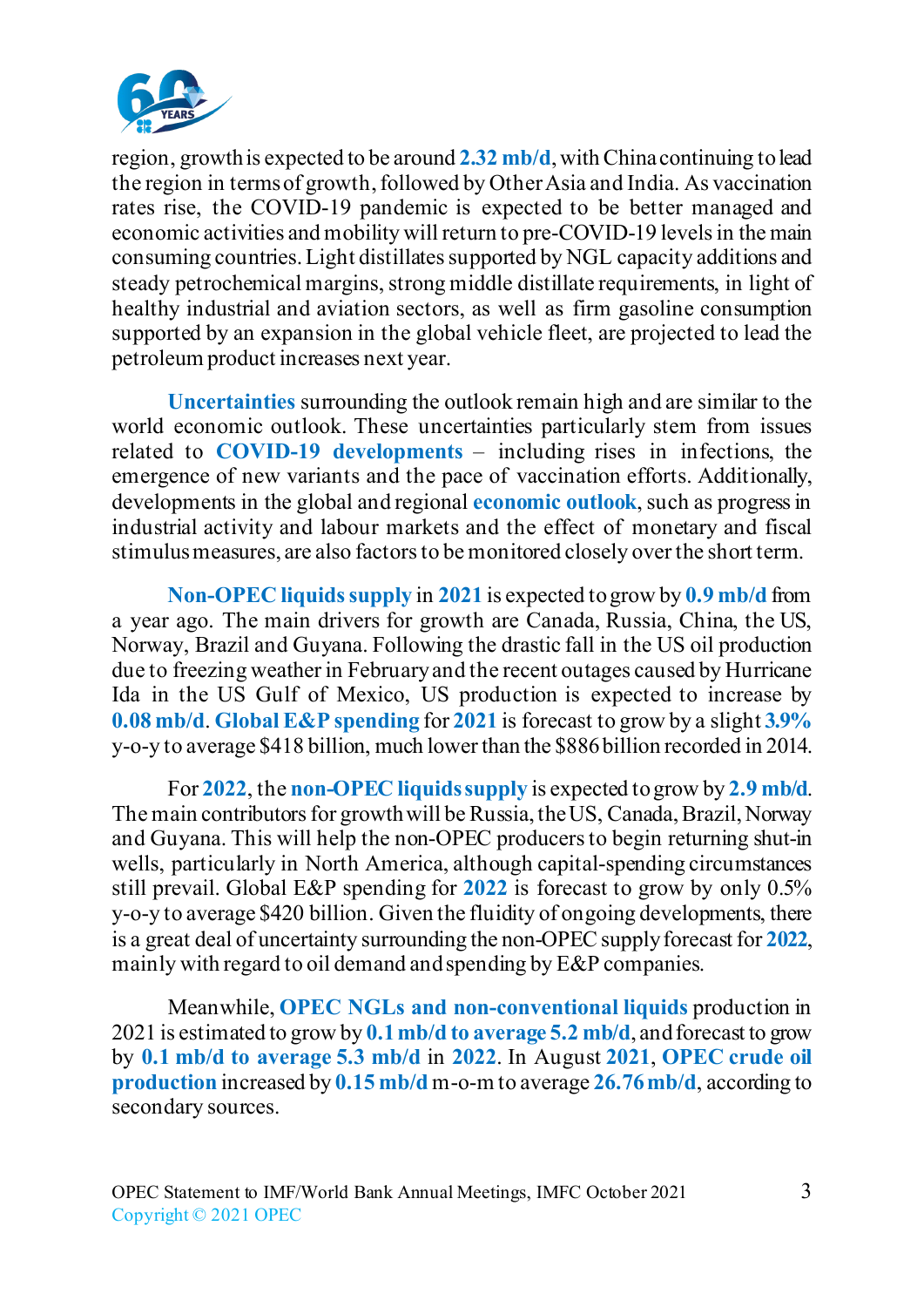

region, growth is expected to be around **2.32 mb/d**, with China continuing to lead the region in terms of growth, followed by Other Asia and India. As vaccination rates rise, the COVID-19 pandemic is expected to be better managed and economic activities and mobility will return to pre-COVID-19 levels in the main consuming countries. Light distillates supported by NGL capacity additions and steady petrochemical margins, strong middle distillate requirements, in light of healthy industrial and aviation sectors, as well as firm gasoline consumption supported by an expansion in the global vehicle fleet, are projected to lead the petroleum product increases next year.

**Uncertainties** surrounding the outlook remain high and are similar to the world economic outlook. These uncertainties particularly stem from issues related to **COVID-19 developments** – including rises in infections, the emergence of new variants and the pace of vaccination efforts. Additionally, developments in the global and regional **economic outlook**, such as progress in industrial activity and labour markets and the effect of monetary and fiscal stimulus measures, are also factors to be monitored closely over the short term.

**Non-OPEC liquids supply** in **2021** is expected to grow by **0.9 mb/d** from a year ago. The main drivers for growth are Canada, Russia, China, the US, Norway, Brazil and Guyana. Following the drastic fall in the US oil production due to freezing weather in February and the recent outages caused by Hurricane Ida in the US Gulf of Mexico, US production is expected to increase by **0.08 mb/d**. **Global E&P spending** for **2021** is forecast to grow by a slight **3.9%** y-o-y to average \$418 billion, much lower than the \$886 billion recorded in 2014.

For **2022**, the **non-OPEC liquids supply** is expected to grow by **2.9 mb/d**. The main contributors for growth will be Russia, the US, Canada, Brazil, Norway and Guyana. This will help the non-OPEC producers to begin returning shut-in wells, particularly in North America, although capital-spending circumstances still prevail. Global E&P spending for **2022** is forecast to grow by only 0.5% y-o-y to average \$420 billion. Given the fluidity of ongoing developments, there is a great deal of uncertainty surrounding the non-OPEC supply forecast for **2022**, mainly with regard to oil demand and spending by E&P companies.

Meanwhile, **OPEC NGLs and non-conventional liquids** production in 2021 is estimated to grow by **0.1 mb/d to average 5.2 mb/d**, and forecast to grow by **0.1 mb/d to average 5.3 mb/d** in **2022**. In August **2021**, **OPEC crude oil production** increased by **0.15 mb/d** m-o-m to average **26.76 mb/d**, according to secondary sources.